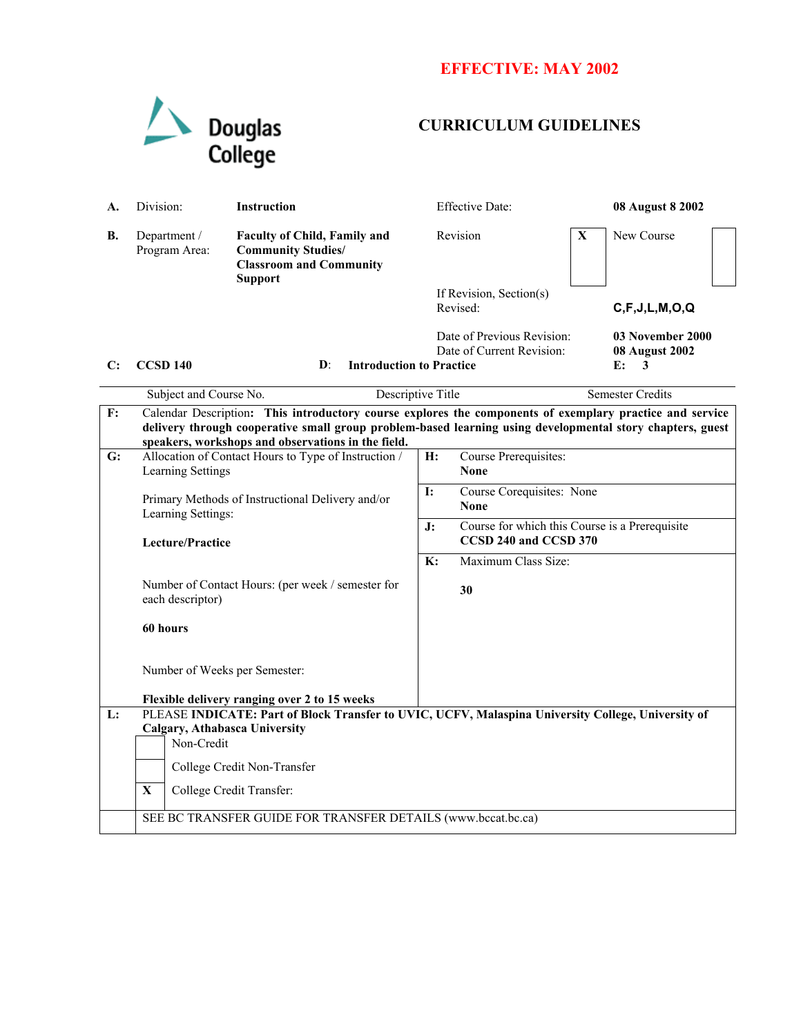## **EFFECTIVE: MAY 2002**



## **CURRICULUM GUIDELINES**

| А.             | Division:                                                                                                                                                                                                                                                                   | Instruction                                                                                                          |                | <b>Effective Date:</b>                                                  |   | 08 August 8 2002                                     |  |
|----------------|-----------------------------------------------------------------------------------------------------------------------------------------------------------------------------------------------------------------------------------------------------------------------------|----------------------------------------------------------------------------------------------------------------------|----------------|-------------------------------------------------------------------------|---|------------------------------------------------------|--|
| В.             | Department /<br>Program Area:                                                                                                                                                                                                                                               | <b>Faculty of Child, Family and</b><br><b>Community Studies/</b><br><b>Classroom and Community</b><br><b>Support</b> |                | Revision                                                                | X | New Course                                           |  |
|                |                                                                                                                                                                                                                                                                             |                                                                                                                      |                | If Revision, Section(s)<br>Revised:                                     |   | C, F, J, L, M, O, Q                                  |  |
| C:             | <b>CCSD 140</b>                                                                                                                                                                                                                                                             | <b>Introduction to Practice</b><br>D:                                                                                |                | Date of Previous Revision:<br>Date of Current Revision:                 |   | 03 November 2000<br><b>08 August 2002</b><br>E:<br>3 |  |
|                | Subject and Course No.                                                                                                                                                                                                                                                      | Descriptive Title                                                                                                    |                |                                                                         |   | <b>Semester Credits</b>                              |  |
| F:             | Calendar Description: This introductory course explores the components of exemplary practice and service<br>delivery through cooperative small group problem-based learning using developmental story chapters, guest<br>speakers, workshops and observations in the field. |                                                                                                                      |                |                                                                         |   |                                                      |  |
| G:             | <b>Learning Settings</b>                                                                                                                                                                                                                                                    | Allocation of Contact Hours to Type of Instruction /                                                                 | <b>H:</b>      | Course Prerequisites:<br><b>None</b>                                    |   |                                                      |  |
|                | Primary Methods of Instructional Delivery and/or<br>Learning Settings:<br>Lecture/Practice                                                                                                                                                                                  |                                                                                                                      | I:             | Course Corequisites: None<br><b>None</b>                                |   |                                                      |  |
|                |                                                                                                                                                                                                                                                                             |                                                                                                                      | J:             | Course for which this Course is a Prerequisite<br>CCSD 240 and CCSD 370 |   |                                                      |  |
|                | each descriptor)                                                                                                                                                                                                                                                            | Number of Contact Hours: (per week / semester for                                                                    | $\mathbf{K}$ : | Maximum Class Size:<br>30                                               |   |                                                      |  |
|                | 60 hours                                                                                                                                                                                                                                                                    |                                                                                                                      |                |                                                                         |   |                                                      |  |
|                | Number of Weeks per Semester:                                                                                                                                                                                                                                               |                                                                                                                      |                |                                                                         |   |                                                      |  |
|                |                                                                                                                                                                                                                                                                             | Flexible delivery ranging over 2 to 15 weeks                                                                         |                |                                                                         |   |                                                      |  |
| $\mathbf{L}$ : | PLEASE INDICATE: Part of Block Transfer to UVIC, UCFV, Malaspina University College, University of<br>Calgary, Athabasca University<br>Non-Credit<br>College Credit Non-Transfer                                                                                            |                                                                                                                      |                |                                                                         |   |                                                      |  |
|                | $\mathbf{X}$                                                                                                                                                                                                                                                                | College Credit Transfer:                                                                                             |                |                                                                         |   |                                                      |  |
|                |                                                                                                                                                                                                                                                                             | SEE BC TRANSFER GUIDE FOR TRANSFER DETAILS (www.bccat.bc.ca)                                                         |                |                                                                         |   |                                                      |  |